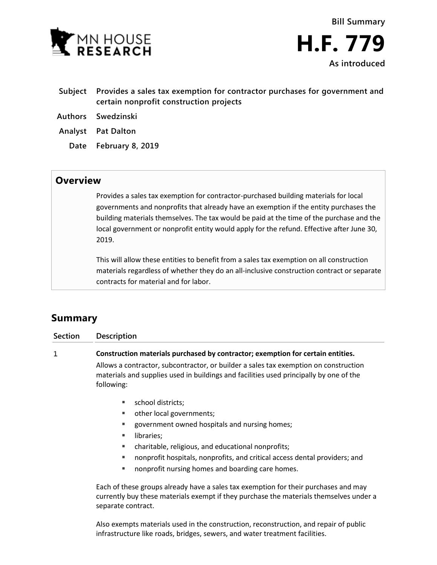

- **Subject Provides a sales tax exemption for contractor purchases for government and certain nonprofit construction projects**
- **Authors Swedzinski**
- **Analyst Pat Dalton**
	- **Date February 8, 2019**

## **Overview**

Provides a sales tax exemption for contractor-purchased building materials for local governments and nonprofits that already have an exemption if the entity purchases the building materials themselves. The tax would be paid at the time of the purchase and the local government or nonprofit entity would apply for the refund. Effective after June 30, 2019.

This will allow these entities to benefit from a sales tax exemption on all construction materials regardless of whether they do an all-inclusive construction contract or separate contracts for material and for labor.

## **Summary**

| <b>Section</b> | Description                                                                                                                                                                                                                                                                                                                        |
|----------------|------------------------------------------------------------------------------------------------------------------------------------------------------------------------------------------------------------------------------------------------------------------------------------------------------------------------------------|
| 1              | Construction materials purchased by contractor; exemption for certain entities.                                                                                                                                                                                                                                                    |
|                | Allows a contractor, subcontractor, or builder a sales tax exemption on construction<br>materials and supplies used in buildings and facilities used principally by one of the<br>following:                                                                                                                                       |
|                | school districts;<br>other local governments;<br>ш<br>government owned hospitals and nursing homes;<br>٠<br>libraries;<br>٠<br>charitable, religious, and educational nonprofits;<br>٠<br>nonprofit hospitals, nonprofits, and critical access dental providers; and<br>٠<br>nonprofit nursing homes and boarding care homes.<br>ш |
|                | Each of these groups already have a sales tax exemption for their purchases and may<br>currently buy these materials exempt if they purchase the materials themselves under a                                                                                                                                                      |

separate contract.

Also exempts materials used in the construction, reconstruction, and repair of public infrastructure like roads, bridges, sewers, and water treatment facilities.